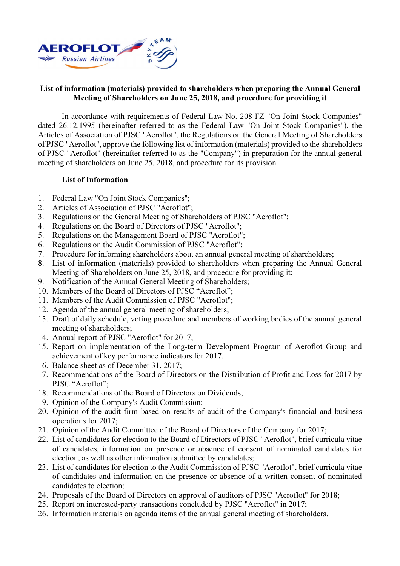

## List of information (materials) provided to shareholders when preparing the Annual General Meeting of Shareholders on June 25, 2018, and procedure for providing it

In accordance with requirements of Federal Law No. 208-FZ "On Joint Stock Companies" dated 26.12.1995 (hereinafter referred to as the Federal Law "On Joint Stock Companies"), the Articles of Association of PJSC "Aeroflot", the Regulations on the General Meeting of Shareholders of PJSC "Aeroflot", approve the following list of information (materials) provided to the shareholders of PJSC "Aeroflot" (hereinafter referred to as the "Company") in preparation for the annual general meeting of shareholders on June 25, 2018, and procedure for its provision.

## List of Information

- 1. Federal Law "On Joint Stock Companies";
- 2. Articles of Association of PJSC "Aeroflot";
- 3. Regulations on the General Meeting of Shareholders of PJSC "Aeroflot";
- 4. Regulations on the Board of Directors of PJSC "Aeroflot";
- 5. Regulations on the Management Board of PJSC "Aeroflot";
- 6. Regulations on the Audit Commission of PJSC "Aeroflot";
- 7. Procedure for informing shareholders about an annual general meeting of shareholders;
- 8. List of information (materials) provided to shareholders when preparing the Annual General Meeting of Shareholders on June 25, 2018, and procedure for providing it;
- 9. Notification of the Annual General Meeting of Shareholders;
- 10. Members of the Board of Directors of PJSC "Aeroflot";
- 11. Members of the Audit Commission of PJSC "Aeroflot";
- 12. Agenda of the annual general meeting of shareholders;
- 13. Draft of daily schedule, voting procedure and members of working bodies of the annual general meeting of shareholders;
- 14. Annual report of PJSC "Aeroflot" for 2017;
- 15. Report on implementation of the Long-term Development Program of Aeroflot Group and achievement of key performance indicators for 2017.
- 16. Balance sheet as of December 31, 2017;
- 17. Recommendations of the Board of Directors on the Distribution of Profit and Loss for 2017 by PJSC "Aeroflot";
- 18. Recommendations of the Board of Directors on Dividends;
- 19. Opinion of the Company's Audit Commission;
- 20. Opinion of the audit firm based on results of audit of the Company's financial and business operations for 2017;
- 21. Opinion of the Audit Committee of the Board of Directors of the Company for 2017;
- 22. List of candidates for election to the Board of Directors of PJSC "Aeroflot", brief curricula vitae of candidates, information on presence or absence of consent of nominated candidates for election, as well as other information submitted by candidates;
- 23. List of candidates for election to the Audit Commission of PJSC "Aeroflot", brief curricula vitae of candidates and information on the presence or absence of a written consent of nominated candidates to election;
- 24. Proposals of the Board of Directors on approval of auditors of PJSC "Aeroflot" for 2018;
- 25. Report on interested-party transactions concluded by PJSC "Aeroflot" in 2017;
- 26. Information materials on agenda items of the annual general meeting of shareholders.